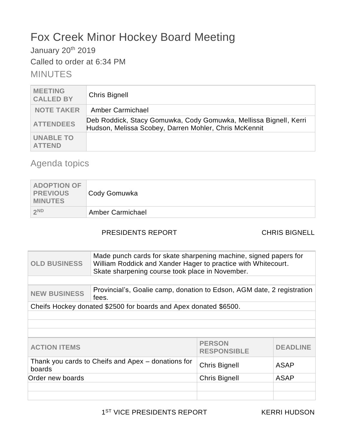## Fox Creek Minor Hockey Board Meeting

January 20<sup>th</sup> 2019

Called to order at 6:34 PM

**MINUTES** 

| <b>MEETING</b><br><b>CALLED BY</b> | <b>Chris Bignell</b>                                                                                                       |
|------------------------------------|----------------------------------------------------------------------------------------------------------------------------|
| <b>NOTE TAKER</b>                  | Amber Carmichael                                                                                                           |
| <b>ATTENDEES</b>                   | Deb Roddick, Stacy Gomuwka, Cody Gomuwka, Mellissa Bignell, Kerri<br>Hudson, Melissa Scobey, Darren Mohler, Chris McKennit |
| <b>UNABLE TO</b><br><b>ATTEND</b>  |                                                                                                                            |

## Agenda topics

| <b>ADOPTION OF</b><br>PREVIOUS<br><b>MINUTES</b> | Cody Gomuwka     |
|--------------------------------------------------|------------------|
| 2ND                                              | Amber Carmichael |

### PRESIDENTS REPORT CHRIS BIGNELL

| <b>OLD BUSINESS</b>                                                           | Made punch cards for skate sharpening machine, signed papers for<br>William Roddick and Xander Hager to practice with Whitecourt.<br>Skate sharpening course took place in November. |                      |             |  |
|-------------------------------------------------------------------------------|--------------------------------------------------------------------------------------------------------------------------------------------------------------------------------------|----------------------|-------------|--|
|                                                                               |                                                                                                                                                                                      |                      |             |  |
| <b>NEW BUSINESS</b>                                                           | Provincial's, Goalie camp, donation to Edson, AGM date, 2 registration<br>fees.                                                                                                      |                      |             |  |
|                                                                               | Cheifs Hockey donated \$2500 for boards and Apex donated \$6500.                                                                                                                     |                      |             |  |
|                                                                               |                                                                                                                                                                                      |                      |             |  |
|                                                                               |                                                                                                                                                                                      |                      |             |  |
|                                                                               |                                                                                                                                                                                      |                      |             |  |
| <b>PERSON</b><br><b>ACTION ITEMS</b><br><b>DEADLINE</b><br><b>RESPONSIBLE</b> |                                                                                                                                                                                      |                      |             |  |
| Thank you cards to Cheifs and Apex – donations for<br>boards                  |                                                                                                                                                                                      | <b>Chris Bignell</b> | <b>ASAP</b> |  |
| Order new boards                                                              |                                                                                                                                                                                      | <b>Chris Bignell</b> | <b>ASAP</b> |  |
|                                                                               |                                                                                                                                                                                      |                      |             |  |
|                                                                               |                                                                                                                                                                                      |                      |             |  |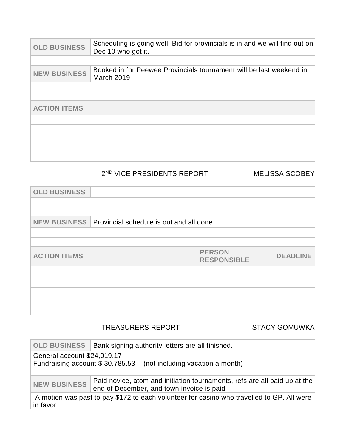| <b>OLD BUSINESS</b> | Scheduling is going well, Bid for provincials is in and we will find out on<br>Dec 10 who got it. |  |  |
|---------------------|---------------------------------------------------------------------------------------------------|--|--|
|                     |                                                                                                   |  |  |
| <b>NEW BUSINESS</b> | Booked in for Peewee Provincials tournament will be last weekend in<br>March 2019                 |  |  |
|                     |                                                                                                   |  |  |
|                     |                                                                                                   |  |  |
| <b>ACTION ITEMS</b> |                                                                                                   |  |  |
|                     |                                                                                                   |  |  |
|                     |                                                                                                   |  |  |
|                     |                                                                                                   |  |  |
|                     |                                                                                                   |  |  |
|                     |                                                                                                   |  |  |

### 2 ND VICE PRESIDENTS REPORT MELISSA SCOBEY

| <b>OLD BUSINESS</b> |                                         |                                     |                 |
|---------------------|-----------------------------------------|-------------------------------------|-----------------|
|                     |                                         |                                     |                 |
|                     |                                         |                                     |                 |
| <b>NEW BUSINESS</b> | Provincial schedule is out and all done |                                     |                 |
|                     |                                         |                                     |                 |
|                     |                                         |                                     |                 |
| <b>ACTION ITEMS</b> |                                         | <b>PERSON</b><br><b>RESPONSIBLE</b> | <b>DEADLINE</b> |
|                     |                                         |                                     |                 |
|                     |                                         |                                     |                 |
|                     |                                         |                                     |                 |
|                     |                                         |                                     |                 |
|                     |                                         |                                     |                 |

### TREASURERS REPORT STACY GOMUWKA

|                                                                                                       | <b>OLD BUSINESS</b>   Bank signing authority letters are all finished.                                                 |  |
|-------------------------------------------------------------------------------------------------------|------------------------------------------------------------------------------------------------------------------------|--|
| General account \$24,019.17                                                                           | Fundraising account $$30.785.53 - (not including vacation a month)$                                                    |  |
| <b>NEW BUSINESS</b>                                                                                   | Paid novice, atom and initiation tournaments, refs are all paid up at the<br>end of December, and town invoice is paid |  |
| A motion was past to pay \$172 to each volunteer for casino who travelled to GP. All were<br>in favor |                                                                                                                        |  |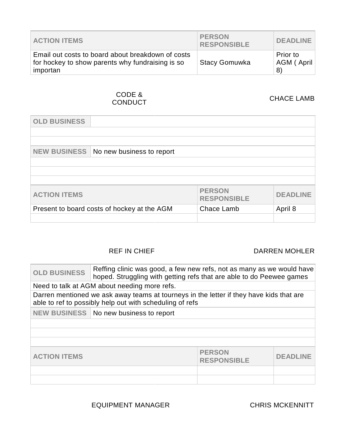| <b>ACTION ITEMS</b>                                                                                               | <b>PERSON</b><br><b>RESPONSIBLE</b> | <b>DEADLINE</b>                     |
|-------------------------------------------------------------------------------------------------------------------|-------------------------------------|-------------------------------------|
| Email out costs to board about breakdown of costs<br>for hockey to show parents why fundraising is so<br>importan | <b>Stacy Gomuwka</b>                | <b>Prior to</b><br>AGM (April<br>8) |

# CODE &<br>CONDUCT

CHACE LAMB

| <b>OLD BUSINESS</b>                         |                           |                                     |                 |
|---------------------------------------------|---------------------------|-------------------------------------|-----------------|
|                                             |                           |                                     |                 |
|                                             |                           |                                     |                 |
| <b>NEW BUSINESS</b>                         | No new business to report |                                     |                 |
|                                             |                           |                                     |                 |
|                                             |                           |                                     |                 |
|                                             |                           |                                     |                 |
| <b>ACTION ITEMS</b>                         |                           | <b>PERSON</b><br><b>RESPONSIBLE</b> | <b>DEADLINE</b> |
| Present to board costs of hockey at the AGM |                           | Chace Lamb                          | April 8         |
|                                             |                           |                                     |                 |

### REF IN CHIEF **DARREN MOHLER**

| <b>OLD BUSINESS</b>                                                                                                                                 | Reffing clinic was good, a few new refs, not as many as we would have<br>hoped. Struggling with getting refs that are able to do Peewee games |  |                 |  |
|-----------------------------------------------------------------------------------------------------------------------------------------------------|-----------------------------------------------------------------------------------------------------------------------------------------------|--|-----------------|--|
|                                                                                                                                                     | Need to talk at AGM about needing more refs.                                                                                                  |  |                 |  |
| Darren mentioned we ask away teams at tourneys in the letter if they have kids that are<br>able to ref to possibly help out with scheduling of refs |                                                                                                                                               |  |                 |  |
|                                                                                                                                                     | NEW BUSINESS   No new business to report                                                                                                      |  |                 |  |
|                                                                                                                                                     |                                                                                                                                               |  |                 |  |
|                                                                                                                                                     |                                                                                                                                               |  |                 |  |
|                                                                                                                                                     |                                                                                                                                               |  |                 |  |
| <b>PERSON</b><br><b>ACTION ITEMS</b><br><b>RESPONSIBLE</b>                                                                                          |                                                                                                                                               |  | <b>DEADLINE</b> |  |
|                                                                                                                                                     |                                                                                                                                               |  |                 |  |
|                                                                                                                                                     |                                                                                                                                               |  |                 |  |

EQUIPMENT MANAGER CHRIS MCKENNITT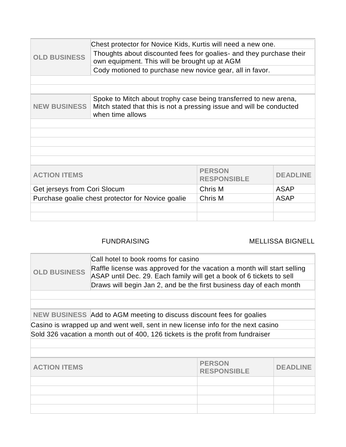|                                                                                                                                                                                     | Chest protector for Novice Kids, Kurtis will need a new one.                                                         |         |                 |
|-------------------------------------------------------------------------------------------------------------------------------------------------------------------------------------|----------------------------------------------------------------------------------------------------------------------|---------|-----------------|
| <b>OLD BUSINESS</b>                                                                                                                                                                 | Thoughts about discounted fees for goalies- and they purchase their<br>own equipment. This will be brought up at AGM |         |                 |
|                                                                                                                                                                                     | Cody motioned to purchase new novice gear, all in favor.                                                             |         |                 |
|                                                                                                                                                                                     |                                                                                                                      |         |                 |
|                                                                                                                                                                                     |                                                                                                                      |         |                 |
| Spoke to Mitch about trophy case being transferred to new arena,<br>Mitch stated that this is not a pressing issue and will be conducted<br><b>NEW BUSINESS</b><br>when time allows |                                                                                                                      |         |                 |
|                                                                                                                                                                                     |                                                                                                                      |         |                 |
|                                                                                                                                                                                     |                                                                                                                      |         |                 |
|                                                                                                                                                                                     |                                                                                                                      |         |                 |
|                                                                                                                                                                                     |                                                                                                                      |         |                 |
|                                                                                                                                                                                     |                                                                                                                      |         |                 |
| <b>PERSON</b><br><b>ACTION ITEMS</b><br><b>RESPONSIBLE</b>                                                                                                                          |                                                                                                                      |         | <b>DEADLINE</b> |
| Get jerseys from Cori Slocum                                                                                                                                                        |                                                                                                                      | Chris M | <b>ASAP</b>     |
| Purchase goalie chest protector for Novice goalie                                                                                                                                   |                                                                                                                      | Chris M | <b>ASAP</b>     |
|                                                                                                                                                                                     |                                                                                                                      |         |                 |
|                                                                                                                                                                                     |                                                                                                                      |         |                 |
|                                                                                                                                                                                     |                                                                                                                      |         |                 |

### FUNDRAISING MELLISSA BIGNELL

| <b>OLD BUSINESS</b>                                                              | Call hotel to book rooms for casino                                                                                                             |  |  |
|----------------------------------------------------------------------------------|-------------------------------------------------------------------------------------------------------------------------------------------------|--|--|
|                                                                                  | Raffle license was approved for the vacation a month will start selling<br>ASAP until Dec. 29. Each family will get a book of 6 tickets to sell |  |  |
|                                                                                  | Draws will begin Jan 2, and be the first business day of each month                                                                             |  |  |
|                                                                                  |                                                                                                                                                 |  |  |
|                                                                                  |                                                                                                                                                 |  |  |
|                                                                                  | NEW BUSINESS Add to AGM meeting to discuss discount fees for goalies                                                                            |  |  |
| Casino is wrapped up and went well, sent in new license info for the next casino |                                                                                                                                                 |  |  |
|                                                                                  | Sold 326 vacation a month out of 400, 126 tickets is the profit from fundraiser                                                                 |  |  |
|                                                                                  |                                                                                                                                                 |  |  |
|                                                                                  |                                                                                                                                                 |  |  |
|                                                                                  |                                                                                                                                                 |  |  |

| <b>ACTION ITEMS</b> | <b>PERSON</b><br><b>RESPONSIBLE</b> | <b>DEADLINE</b> |
|---------------------|-------------------------------------|-----------------|
|                     |                                     |                 |
|                     |                                     |                 |
|                     |                                     |                 |
|                     |                                     |                 |